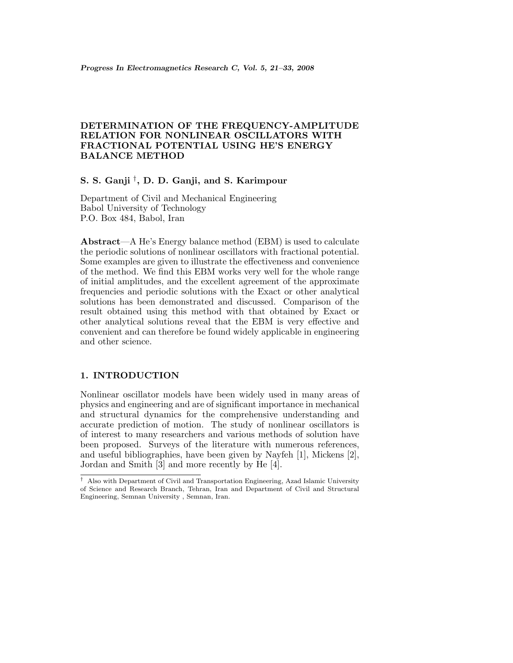# **DETERMINATION OF THE FREQUENCY-AMPLITUDE RELATION FOR NONLINEAR OSCILLATORS WITH FRACTIONAL POTENTIAL USING HE'S ENERGY BALANCE METHOD**

# **S. S. Ganji** †**, D. D. Ganji, and S. Karimpour**

Department of Civil and Mechanical Engineering Babol University of Technology P.O. Box 484, Babol, Iran

**Abstract**—A He's Energy balance method (EBM) is used to calculate the periodic solutions of nonlinear oscillators with fractional potential. Some examples are given to illustrate the effectiveness and convenience of the method. We find this EBM works very well for the whole range of initial amplitudes, and the excellent agreement of the approximate frequencies and periodic solutions with the Exact or other analytical solutions has been demonstrated and discussed. Comparison of the result obtained using this method with that obtained by Exact or other analytical solutions reveal that the EBM is very effective and convenient and can therefore be found widely applicable in engineering and other science.

## **1. INTRODUCTION**

Nonlinear oscillator models have been widely used in many areas of physics and engineering and are of significant importance in mechanical and structural dynamics for the comprehensive understanding and accurate prediction of motion. The study of nonlinear oscillators is of interest to many researchers and various methods of solution have been proposed. Surveys of the literature with numerous references, and useful bibliographies, have been given by Nayfeh [1], Mickens [2], Jordan and Smith [3] and more recently by He [4].

<sup>†</sup> Also with Department of Civil and Transportation Engineering, Azad Islamic University of Science and Research Branch, Tehran, Iran and Department of Civil and Structural Engineering, Semnan University , Semnan, Iran.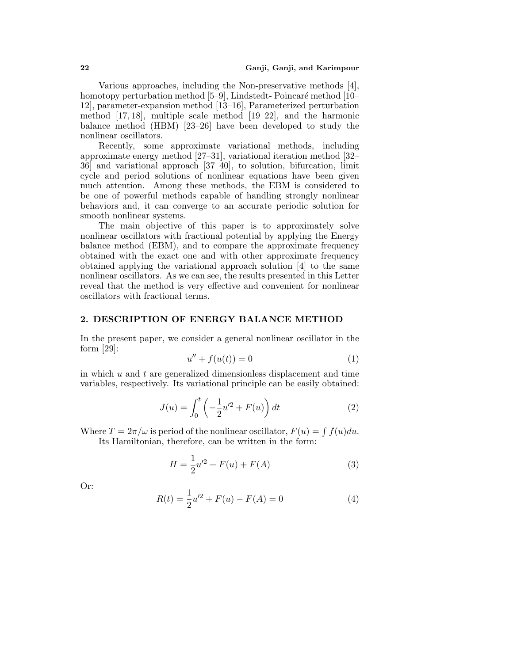Various approaches, including the Non-preservative methods [4], homotopy perturbation method [5–9], Lindstedt-Poincaré method [10– 12], parameter-expansion method [13–16], Parameterized perturbation method [17, 18], multiple scale method [19–22], and the harmonic balance method (HBM) [23–26] have been developed to study the nonlinear oscillators.

Recently, some approximate variational methods, including approximate energy method [27–31], variational iteration method [32– 36] and variational approach [37–40], to solution, bifurcation, limit cycle and period solutions of nonlinear equations have been given much attention. Among these methods, the EBM is considered to be one of powerful methods capable of handling strongly nonlinear behaviors and, it can converge to an accurate periodic solution for smooth nonlinear systems.

The main objective of this paper is to approximately solve nonlinear oscillators with fractional potential by applying the Energy balance method (EBM), and to compare the approximate frequency obtained with the exact one and with other approximate frequency obtained applying the variational approach solution [4] to the same nonlinear oscillators. As we can see, the results presented in this Letter reveal that the method is very effective and convenient for nonlinear oscillators with fractional terms.

#### **2. DESCRIPTION OF ENERGY BALANCE METHOD**

In the present paper, we consider a general nonlinear oscillator in the form [29]:

$$
u'' + f(u(t)) = 0 \tag{1}
$$

in which  $u$  and  $t$  are generalized dimensionless displacement and time variables, respectively. Its variational principle can be easily obtained:

$$
J(u) = \int_0^t \left( -\frac{1}{2}u'^2 + F(u) \right) dt
$$
 (2)

Where  $T = 2\pi/\omega$  is period of the nonlinear oscillator,  $F(u) = \int f(u)du$ . Its Hamiltonian, therefore, can be written in the form:

$$
H = \frac{1}{2}u^2 + F(u) + F(A)
$$
 (3)

Or:

$$
R(t) = \frac{1}{2}u^2 + F(u) - F(A) = 0
$$
\n(4)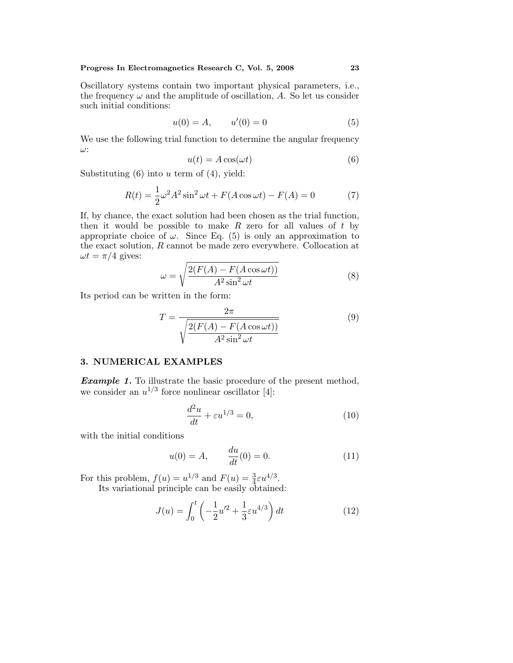Oscillatory systems contain two important physical parameters, i.e., the frequency  $\omega$  and the amplitude of oscillation, A. So let us consider such initial conditions:

$$
u(0) = A, \qquad u'(0) = 0 \tag{5}
$$

We use the following trial function to determine the angular frequency ω:

$$
u(t) = A\cos(\omega t) \tag{6}
$$

Substituting  $(6)$  into u term of  $(4)$ , yield:

$$
R(t) = \frac{1}{2}\omega^2 A^2 \sin^2 \omega t + F(A\cos \omega t) - F(A) = 0
$$
 (7)

If, by chance, the exact solution had been chosen as the trial function, then it would be possible to make  $R$  zero for all values of  $t$  by appropriate choice of  $\omega$ . Since Eq. (5) is only an approximation to the exact solution, R cannot be made zero everywhere. Collocation at  $\omega t = \pi/4$  gives:

$$
\omega = \sqrt{\frac{2(F(A) - F(A\cos\omega t))}{A^2 \sin^2 \omega t}}
$$
(8)

Its period can be written in the form:

$$
T = \frac{2\pi}{\sqrt{\frac{2(F(A) - F(A\cos\omega t))}{A^2 \sin^2 \omega t}}}
$$
(9)

## **3. NUMERICAL EXAMPLES**

**Example 1.** To illustrate the basic procedure of the present method, we consider an  $u^{1/3}$  force nonlinear oscillator [4]:

$$
\frac{d^2u}{dt} + \varepsilon u^{1/3} = 0,\t\t(10)
$$

with the initial conditions

$$
u(0) = A, \qquad \frac{du}{dt}(0) = 0.
$$
 (11)

For this problem,  $f(u) = u^{1/3}$  and  $F(u) = \frac{3}{4} \varepsilon u^{4/3}$ . Its variational principle can be easily obtained:

$$
J(u) = \int_0^t \left( -\frac{1}{2} u'^2 + \frac{1}{3} \varepsilon u^{4/3} \right) dt \tag{12}
$$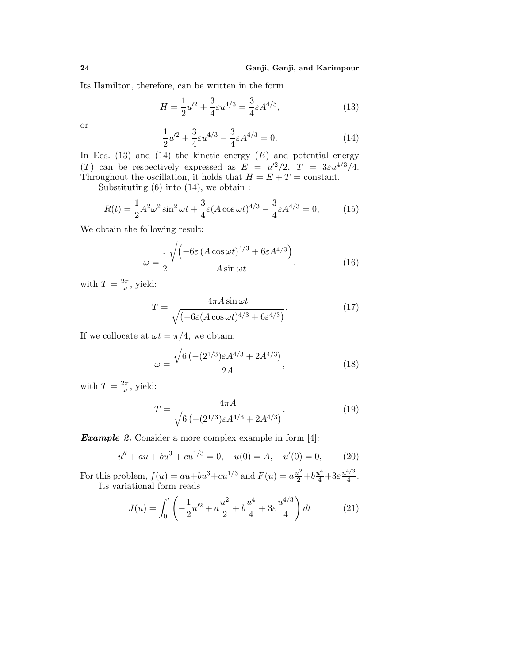Its Hamilton, therefore, can be written in the form

$$
H = \frac{1}{2}u^2 + \frac{3}{4}\varepsilon u^{4/3} = \frac{3}{4}\varepsilon A^{4/3},\tag{13}
$$

or

$$
\frac{1}{2}u^2 + \frac{3}{4}\varepsilon u^{4/3} - \frac{3}{4}\varepsilon A^{4/3} = 0,\tag{14}
$$

In Eqs. (13) and (14) the kinetic energy  $(E)$  and potential energy (T) can be respectively expressed as  $E = u'^2/2$ ,  $T = 3\varepsilon u^{4/3}/4$ . Throughout the oscillation, it holds that  $H = E + T = constant$ .

Substituting  $(6)$  into  $(14)$ , we obtain :

$$
R(t) = \frac{1}{2}A^2\omega^2 \sin^2 \omega t + \frac{3}{4}\varepsilon (A\cos \omega t)^{4/3} - \frac{3}{4}\varepsilon A^{4/3} = 0,
$$
 (15)

We obtain the following result:

$$
\omega = \frac{1}{2} \frac{\sqrt{\left(-6\varepsilon \left(A\cos\omega t\right)^{4/3} + 6\varepsilon A^{4/3}\right)}}{A\sin\omega t},\tag{16}
$$

with  $T = \frac{2\pi}{\omega}$ , yield:

$$
T = \frac{4\pi A \sin \omega t}{\sqrt{(-6\varepsilon (A \cos \omega t)^{4/3} + 6\varepsilon^{4/3})}}.
$$
(17)

If we collocate at  $\omega t = \pi/4$ , we obtain:

$$
\omega = \frac{\sqrt{6\left(-(2^{1/3})\varepsilon A^{4/3} + 2A^{4/3}\right)}}{2A},\tag{18}
$$

with  $T = \frac{2\pi}{\omega}$ , yield:

$$
T = \frac{4\pi A}{\sqrt{6\left(-(2^{1/3})\varepsilon A^{4/3} + 2A^{4/3}\right)}}.\tag{19}
$$

*Example 2.* Consider a more complex example in form [4]:

$$
u'' + au + bu3 + cu1/3 = 0, \quad u(0) = A, \quad u'(0) = 0,
$$
 (20)

For this problem,  $f(u) = au + bu^3 + cu^{1/3}$  and  $F(u) = a\frac{u^2}{2} + b\frac{u^4}{4} + 3\varepsilon \frac{u^{4/3}}{4}$ . Its variational form reads

$$
J(u) = \int_0^t \left( -\frac{1}{2}u'^2 + a\frac{u^2}{2} + b\frac{u^4}{4} + 3\varepsilon\frac{u^{4/3}}{4} \right) dt \tag{21}
$$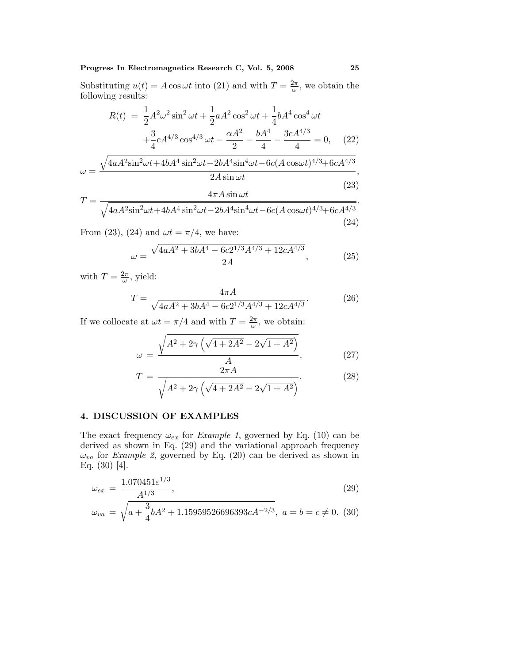## Progress In Electromagnetics Research C, Vol. 5, 2008 25

Substituting  $u(t) = A \cos \omega t$  into (21) and with  $T = \frac{2\pi}{\omega}$ , we obtain the following results:

$$
R(t) = \frac{1}{2}A^2\omega^2 \sin^2 \omega t + \frac{1}{2}aA^2 \cos^2 \omega t + \frac{1}{4}bA^4 \cos^4 \omega t + \frac{3}{4}cA^{4/3} \cos^{4/3} \omega t - \frac{\alpha A^2}{2} - \frac{bA^4}{4} - \frac{3cA^{4/3}}{4} = 0, \quad (22)
$$

$$
\omega = \frac{\sqrt{4aA^2\sin^2\omega t + 4bA^4\sin^2\omega t - 2bA^4\sin^4\omega t - 6c(A\cos\omega t)^{4/3} + 6cA^{4/3}}}{2A\sin\omega t},
$$
\n(23)

$$
T = \frac{4\pi A \sin \omega t}{\sqrt{4aA^2 \sin^2 \omega t + 4bA^4 \sin^2 \omega t - 2bA^4 \sin^4 \omega t - 6c(A\cos \omega t)^{4/3} + 6cA^{4/3}}}.
$$
\n(24)

From (23), (24) and  $\omega t = \pi/4$ , we have:

$$
\omega = \frac{\sqrt{4aA^2 + 3bA^4 - 6c2^{1/3}A^{4/3} + 12cA^{4/3}}}{2A},\tag{25}
$$

with  $T = \frac{2\pi}{\omega}$ , yield:

$$
T = \frac{4\pi A}{\sqrt{4aA^2 + 3bA^4 - 6c2^{1/3}A^{4/3} + 12cA^{4/3}}}.
$$
 (26)

If we collocate at  $\omega t = \pi/4$  and with  $T = \frac{2\pi}{\omega}$ , we obtain:

$$
\omega = \frac{\sqrt{A^2 + 2\gamma \left(\sqrt{4 + 2A^2} - 2\sqrt{1 + A^2}\right)}}{A},\tag{27}
$$

$$
T = \frac{2\pi A}{\sqrt{A^2 + 2\gamma \left(\sqrt{4 + 2A^2} - 2\sqrt{1 + A^2}\right)}}.
$$
 (28)

# **4. DISCUSSION OF EXAMPLES**

The exact frequency  $\omega_{ex}$  for *Example 1*, governed by Eq. (10) can be derived as shown in Eq. (29) and the variational approach frequency  $\omega_{va}$  for *Example 2*, governed by Eq. (20) can be derived as shown in Eq. (30) [4].

$$
\omega_{ex} = \frac{1.070451 \varepsilon^{1/3}}{A^{1/3}},\tag{29}
$$

$$
\omega_{va} = \sqrt{a + \frac{3}{4}bA^2 + 1.15959526696393cA^{-2/3}}, \ a = b = c \neq 0. \tag{30}
$$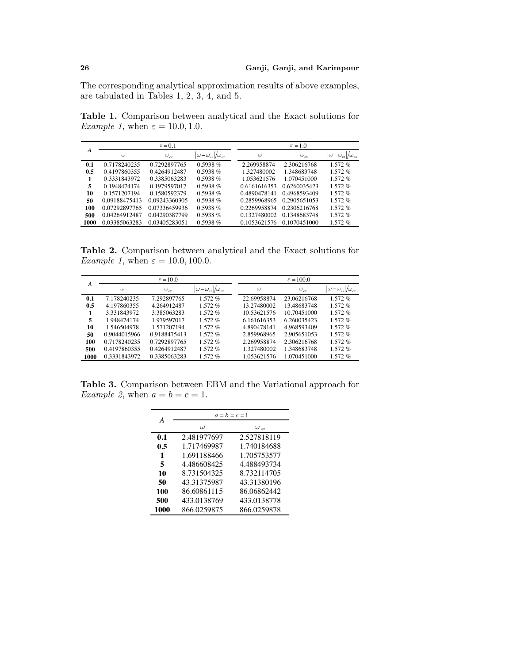The corresponding analytical approximation results of above examples, are tabulated in Tables 1, 2, 3, 4, and 5.

**Table 1.** Comparison between analytical and the Exact solutions for *Example 1*, when  $\varepsilon = 10.0, 1.0$ .

| А    | $\varepsilon = 0.1$ |                  |                                        | $\varepsilon = 1.0$ |               |                                   |
|------|---------------------|------------------|----------------------------------------|---------------------|---------------|-----------------------------------|
|      | $\omega$            | $\omega_{_{ex}}$ | $\omega - \omega_{ex}$ / $\omega_{ex}$ | $\omega$            | $\omega_{ex}$ | $\omega-\omega_{ex} /\omega_{ex}$ |
| 0.1  | 0.7178240235        | 0.7292897765     | $0.5938\%$                             | 2.269958874         | 2.306216768   | 1.572%                            |
| 0.5  | 0.4197860355        | 0.4264912487     | $0.5938\%$                             | 1.327480002         | 1.348683748   | 1.572%                            |
|      | 0.3331843972        | 0.3385063283     | $0.5938\%$                             | 1.053621576         | 1.070451000   | 1.572%                            |
| 5    | 0.1948474174        | 0.1979597017     | $0.5938\%$                             | 0.6161616353        | 0.6260035423  | 1.572%                            |
| 10   | 0.1571207194        | 0.1580592379     | $0.5938\%$                             | 0.4890478141        | 0.4968593409  | 1.572%                            |
| 50   | 0.09188475413       | 0.09243360305    | $0.5938\%$                             | 0.2859968965        | 0.2905651053  | 1.572%                            |
| 100  | 0.07292897765       | 0.07336459936    | $0.5938\%$                             | 0.2269958874        | 0.2306216768  | $1.572\%$                         |
| 500  | 0.04264912487       | 0.04290387799    | $0.5938\%$                             | 0.1327480002        | 0.1348683748  | 1.572%                            |
| 1000 | 0.03385063283       | 0.03405283051    | $0.5938\%$                             | 0.1053621576        | 0.1070451000  | 1.572 %                           |

**Table 2.** Comparison between analytical and the Exact solutions for *Example 1*, when  $\varepsilon = 10.0, 100.0$ .

| A    | $\epsilon = 10.0$ |                  |                                    | $\varepsilon = 100.0$ |             |               |                 |
|------|-------------------|------------------|------------------------------------|-----------------------|-------------|---------------|-----------------|
|      | $\omega$          | $\omega_{_{ex}}$ | $\omega - \omega_{ex}/\omega_{ex}$ |                       | $\omega$    | $\omega_{ex}$ | $\omega-\omega$ |
| 0.1  | 7.178240235       | 7.292897765      | 1.572%                             |                       | 22.69958874 | 23.06216768   | 1.572%          |
| 0.5  | 4.197860355       | 4.264912487      | $1.572\%$                          |                       | 13.27480002 | 13.48683748   | $1.572\%$       |
|      | 3.331843972       | 3.385063283      | $1.572\%$                          |                       | 10.53621576 | 10.70451000   | $1.572\%$       |
| 5    | 1.948474174       | 1.979597017      | $1.572\%$                          |                       | 6.161616353 | 6.260035423   | $1.572\%$       |
| 10   | 1.546504978       | 1.571207194      | $1.572\%$                          |                       | 4.890478141 | 4.968593409   | $1.572\%$       |
| 50   | 0.9044015966      | 0.9188475413     | $1.572\%$                          |                       | 2.859968965 | 2.905651053   | $1.572\%$       |
| 100  | 0.7178240235      | 0.7292897765     | 1.572%                             |                       | 2.269958874 | 2.306216768   | 1.572%          |
| 500  | 0.4197860355      | 0.4264912487     | 1.572%                             |                       | 1.327480002 | 1.348683748   | 1.572%          |
| 1000 | 0.3331843972      | 0.3385063283     | 1.572%                             |                       | 1.053621576 | 1.070451000   | 1.572 %         |

**Table 3.** Comparison between EBM and the Variational approach for Example 2, when  $a = b = c = 1$ .

|      | $a = b = c = 1$ |               |  |  |  |
|------|-----------------|---------------|--|--|--|
| А    | $\omega$        | $\omega_{va}$ |  |  |  |
| 0.1  | 2.481977697     | 2.527818119   |  |  |  |
| 0.5  | 1.717469987     | 1.740184688   |  |  |  |
| 1    | 1.691188466     | 1.705753577   |  |  |  |
| 5    | 4.486608425     | 4.488493734   |  |  |  |
| 10   | 8.731504325     | 8.732114705   |  |  |  |
| 50   | 43.31375987     | 43.31380196   |  |  |  |
| 100  | 86.60861115     | 86.06862442   |  |  |  |
| 500  | 433.0138769     | 433.0138778   |  |  |  |
| 1000 | 866.0259875     | 866.0259878   |  |  |  |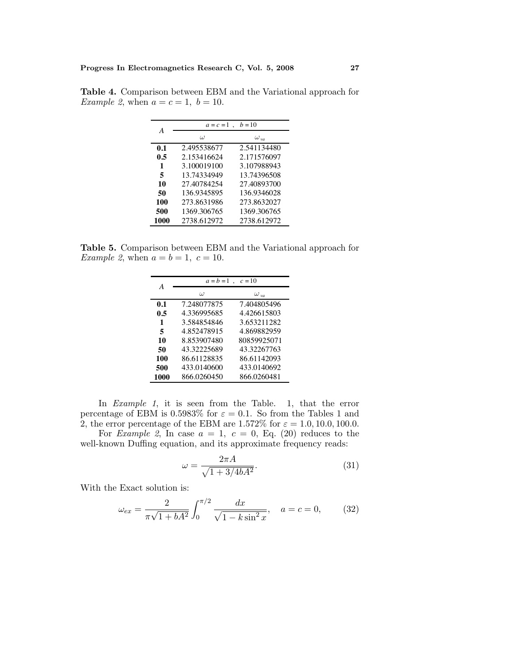|      | $b = 10$<br>$a = c = 1$ |               |  |  |
|------|-------------------------|---------------|--|--|
| A    | $\omega$                | $\omega_{va}$ |  |  |
| 0.1  | 2.495538677             | 2.541134480   |  |  |
| 0.5  | 2.153416624             | 2.171576097   |  |  |
| 1    | 3.100019100             | 3.107988943   |  |  |
| 5    | 13.74334949             | 13.74396508   |  |  |
| 10   | 27.40784254             | 27.40893700   |  |  |
| 50   | 136.9345895             | 136.9346028   |  |  |
| 100  | 273.8631986             | 273.8632027   |  |  |
| 500  | 1369.306765             | 1369.306765   |  |  |
| 1000 | 2738.612972             | 2738.612972   |  |  |

**Table 4.** Comparison between EBM and the Variational approach for Example 2, when  $a = c = 1$ ,  $b = 10$ .

**Table 5.** Comparison between EBM and the Variational approach for Example 2, when  $a = b = 1$ ,  $c = 10$ .

| $a = b = 1$<br>$c=10$<br>А<br>ω<br>$\omega_{\nu a}$<br>7.404805496<br>7.248077875<br>0.1<br>4.336995685<br>4.426615803<br>0.5<br>3.584854846<br>3.653211282<br>1<br>4.869882959<br>4.852478915<br>5<br>80859925071<br>8.853907480<br>10<br>43.32225689<br>43.32267763<br>50<br>100<br>86.61128835<br>86.61142093 |  |  |  |  |
|------------------------------------------------------------------------------------------------------------------------------------------------------------------------------------------------------------------------------------------------------------------------------------------------------------------|--|--|--|--|
|                                                                                                                                                                                                                                                                                                                  |  |  |  |  |
|                                                                                                                                                                                                                                                                                                                  |  |  |  |  |
|                                                                                                                                                                                                                                                                                                                  |  |  |  |  |
|                                                                                                                                                                                                                                                                                                                  |  |  |  |  |
|                                                                                                                                                                                                                                                                                                                  |  |  |  |  |
|                                                                                                                                                                                                                                                                                                                  |  |  |  |  |
|                                                                                                                                                                                                                                                                                                                  |  |  |  |  |
|                                                                                                                                                                                                                                                                                                                  |  |  |  |  |
|                                                                                                                                                                                                                                                                                                                  |  |  |  |  |
| 433.0140692<br>500<br>433.0140600                                                                                                                                                                                                                                                                                |  |  |  |  |
| 866.0260450<br>866.0260481<br>1000                                                                                                                                                                                                                                                                               |  |  |  |  |

In Example 1, it is seen from the Table. 1, that the error percentage of EBM is 0.5983% for  $\varepsilon = 0.1$ . So from the Tables 1 and 2, the error percentage of the EBM are 1.572% for  $\varepsilon = 1.0, 10.0, 100.0$ .

For *Example 2*, In case  $a = 1, c = 0, Eq. (20)$  reduces to the well-known Duffing equation, and its approximate frequency reads:

$$
\omega = \frac{2\pi A}{\sqrt{1 + 3/4bA^2}}.\tag{31}
$$

With the Exact solution is:

$$
\omega_{ex} = \frac{2}{\pi\sqrt{1 + bA^2}} \int_0^{\pi/2} \frac{dx}{\sqrt{1 - k\sin^2 x}}, \quad a = c = 0,
$$
 (32)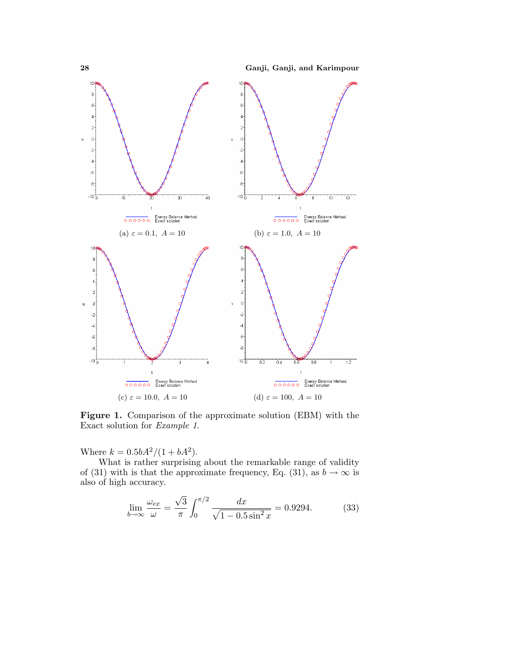**28Ganji, Ganji, and Karimpour**



**Figure 1.** Comparison of the approximate solution (EBM) with the Exact solution for Example 1.

Where  $k = 0.5bA^2/(1 + bA^2)$ .

What is rather surprising about the remarkable range of validity of (31) with is that the approximate frequency, Eq. (31), as  $b \to \infty$  is also of high accuracy.

$$
\lim_{b \to \infty} \frac{\omega_{ex}}{\omega} = \frac{\sqrt{3}}{\pi} \int_0^{\pi/2} \frac{dx}{\sqrt{1 - 0.5 \sin^2 x}} = 0.9294. \tag{33}
$$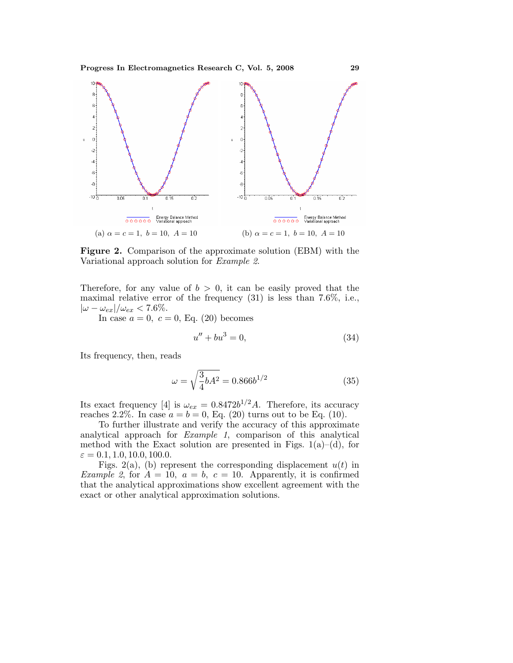Progress In Electromagnetics Research C, Vol. 5, 2008 29



**Figure 2.** Comparison of the approximate solution (EBM) with the Variational approach solution for Example 2.

Therefore, for any value of  $b > 0$ , it can be easily proved that the maximal relative error of the frequency (31) is less than 7.6%, i.e.,  $|\omega - \omega_{ex}|/\omega_{ex} < 7.6\%.$ 

In case  $a = 0, c = 0$ , Eq. (20) becomes

$$
u'' + bu^3 = 0,\t\t(34)
$$

Its frequency, then, reads

$$
\omega = \sqrt{\frac{3}{4}bA^2} = 0.866b^{1/2} \tag{35}
$$

Its exact frequency [4] is  $\omega_{ex} = 0.8472b^{1/2}A$ . Therefore, its accuracy reaches 2.2%. In case  $a = b = 0$ , Eq. (20) turns out to be Eq. (10).

To further illustrate and verify the accuracy of this approximate analytical approach for Example 1, comparison of this analytical method with the Exact solution are presented in Figs.  $1(a)$ –(d), for  $\varepsilon = 0.1, 1.0, 10.0, 100.0.$ 

Figs. 2(a), (b) represent the corresponding displacement  $u(t)$  in *Example 2,* for  $A = 10$ ,  $a = b$ ,  $c = 10$ . Apparently, it is confirmed that the analytical approximations show excellent agreement with the exact or other analytical approximation solutions.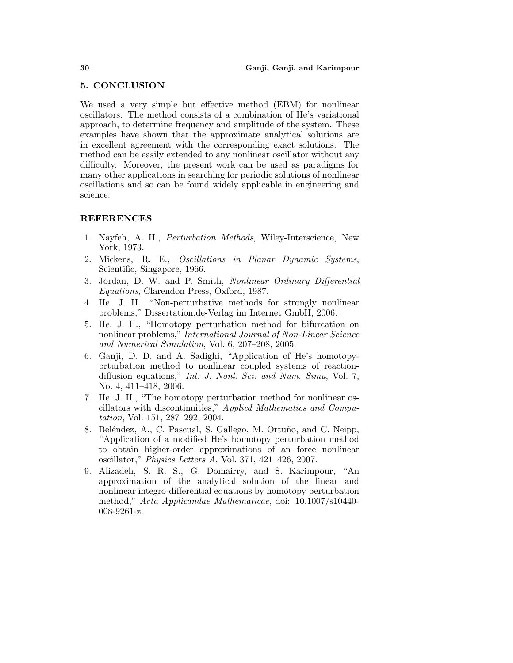#### **5. CONCLUSION**

We used a very simple but effective method (EBM) for nonlinear oscillators. The method consists of a combination of He's variational approach, to determine frequency and amplitude of the system. These examples have shown that the approximate analytical solutions are in excellent agreement with the corresponding exact solutions. The method can be easily extended to any nonlinear oscillator without any difficulty. Moreover, the present work can be used as paradigms for many other applications in searching for periodic solutions of nonlinear oscillations and so can be found widely applicable in engineering and science.

## **REFERENCES**

- 1. Nayfeh, A. H., Perturbation Methods, Wiley-Interscience, New York, 1973.
- 2. Mickens, R. E., Oscillations in Planar Dynamic Systems, Scientific, Singapore, 1966.
- 3. Jordan, D. W. and P. Smith, Nonlinear Ordinary Differential Equations, Clarendon Press, Oxford, 1987.
- 4. He, J. H., "Non-perturbative methods for strongly nonlinear problems," Dissertation.de-Verlag im Internet GmbH, 2006.
- 5. He, J. H., "Homotopy perturbation method for bifurcation on nonlinear problems," International Journal of Non-Linear Science and Numerical Simulation, Vol. 6, 207–208, 2005.
- 6. Ganji, D. D. and A. Sadighi, "Application of He's homotopyprturbation method to nonlinear coupled systems of reactiondiffusion equations," Int. J. Nonl. Sci. and Num. Simu, Vol. 7, No. 4, 411–418, 2006.
- 7. He, J. H., "The homotopy perturbation method for nonlinear oscillators with discontinuities," Applied Mathematics and Computation, Vol. 151, 287–292, 2004.
- 8. Beléndez, A., C. Pascual, S. Gallego, M. Ortuño, and C. Neipp, "Application of a modified He's homotopy perturbation method to obtain higher-order approximations of an force nonlinear oscillator," Physics Letters A, Vol. 371, 421–426, 2007.
- 9. Alizadeh, S. R. S., G. Domairry, and S. Karimpour, "An approximation of the analytical solution of the linear and nonlinear integro-differential equations by homotopy perturbation method," Acta Applicandae Mathematicae, doi: 10.1007/s10440- 008-9261-z.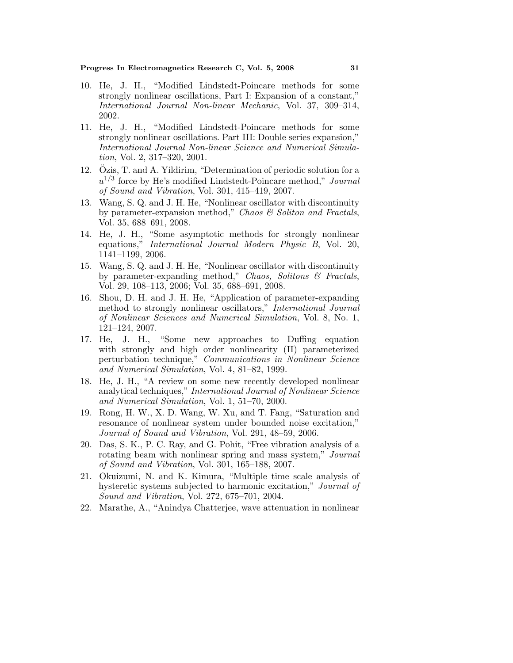#### **Progress In Electromagnetics Research C, Vol. 5, 2008** 31

- 10. He, J. H., "Modified Lindstedt-Poincare methods for some strongly nonlinear oscillations, Part I: Expansion of a constant," International Journal Non-linear Mechanic, Vol. 37, 309–314, 2002.
- 11. He, J. H., "Modified Lindstedt-Poincare methods for some strongly nonlinear oscillations. Part III: Double series expansion," International Journal Non-linear Science and Numerical Simulation, Vol. 2, 317–320, 2001.
- 12. Ozis, T. and A. Yildirim, "Determination of periodic solution for a  $u^{1/3}$  force by He's modified Lindstedt-Poincare method," Journal of Sound and Vibration, Vol. 301, 415–419, 2007.
- 13. Wang, S. Q. and J. H. He, "Nonlinear oscillator with discontinuity by parameter-expansion method," Chaos  $\mathcal C$  Soliton and Fractals, Vol. 35, 688–691, 2008.
- 14. He, J. H., "Some asymptotic methods for strongly nonlinear equations," International Journal Modern Physic B, Vol. 20, 1141–1199, 2006.
- 15. Wang, S. Q. and J. H. He, "Nonlinear oscillator with discontinuity by parameter-expanding method," Chaos, Solitons & Fractals, Vol. 29, 108–113, 2006; Vol. 35, 688–691, 2008.
- 16. Shou, D. H. and J. H. He, "Application of parameter-expanding method to strongly nonlinear oscillators," International Journal of Nonlinear Sciences and Numerical Simulation, Vol. 8, No. 1, 121–124, 2007.
- 17. He, J. H., "Some new approaches to Duffing equation with strongly and high order nonlinearity (II) parameterized perturbation technique," Communications in Nonlinear Science and Numerical Simulation, Vol. 4, 81–82, 1999.
- 18. He, J. H., "A review on some new recently developed nonlinear analytical techniques," International Journal of Nonlinear Science and Numerical Simulation, Vol. 1, 51–70, 2000.
- 19. Rong, H. W., X. D. Wang, W. Xu, and T. Fang, "Saturation and resonance of nonlinear system under bounded noise excitation," Journal of Sound and Vibration, Vol. 291, 48–59, 2006.
- 20. Das, S. K., P. C. Ray, and G. Pohit, "Free vibration analysis of a rotating beam with nonlinear spring and mass system," Journal of Sound and Vibration, Vol. 301, 165–188, 2007.
- 21. Okuizumi, N. and K. Kimura, "Multiple time scale analysis of hysteretic systems subjected to harmonic excitation," Journal of Sound and Vibration, Vol. 272, 675–701, 2004.
- 22. Marathe, A., "Anindya Chatterjee, wave attenuation in nonlinear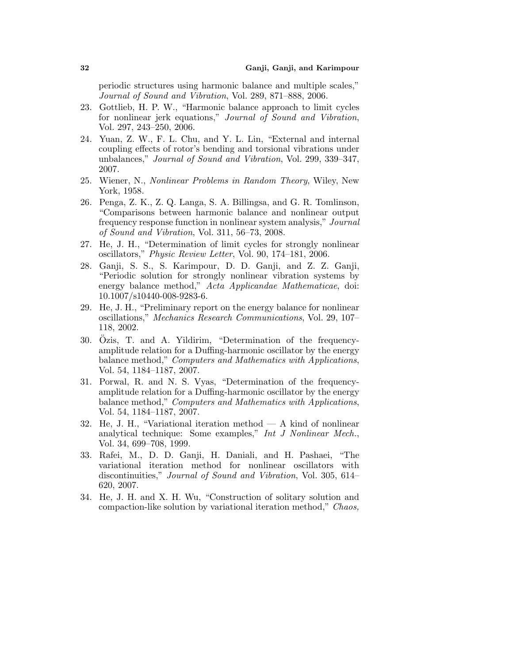periodic structures using harmonic balance and multiple scales," Journal of Sound and Vibration, Vol. 289, 871–888, 2006.

- 23. Gottlieb, H. P. W., "Harmonic balance approach to limit cycles for nonlinear jerk equations," Journal of Sound and Vibration, Vol. 297, 243–250, 2006.
- 24. Yuan, Z. W., F. L. Chu, and Y. L. Lin, "External and internal coupling effects of rotor's bending and torsional vibrations under unbalances," Journal of Sound and Vibration, Vol. 299, 339–347, 2007.
- 25. Wiener, N., Nonlinear Problems in Random Theory, Wiley, New York, 1958.
- 26. Penga, Z. K., Z. Q. Langa, S. A. Billingsa, and G. R. Tomlinson, "Comparisons between harmonic balance and nonlinear output frequency response function in nonlinear system analysis," Journal of Sound and Vibration, Vol. 311, 56–73, 2008.
- 27. He, J. H., "Determination of limit cycles for strongly nonlinear oscillators," Physic Review Letter, Vol. 90, 174–181, 2006.
- 28. Ganji, S. S., S. Karimpour, D. D. Ganji, and Z. Z. Ganji, "Periodic solution for strongly nonlinear vibration systems by energy balance method," Acta Applicandae Mathematicae, doi: 10.1007/s10440-008-9283-6.
- 29. He, J. H., "Preliminary report on the energy balance for nonlinear oscillations," Mechanics Research Communications, Vol. 29, 107– 118, 2002.
- 30. Ozis, T. and A. Yildirim, "Determination of the frequencyamplitude relation for a Duffing-harmonic oscillator by the energy balance method," Computers and Mathematics with Applications, Vol. 54, 1184–1187, 2007.
- 31. Porwal, R. and N. S. Vyas, "Determination of the frequencyamplitude relation for a Duffing-harmonic oscillator by the energy balance method," Computers and Mathematics with Applications, Vol. 54, 1184–1187, 2007.
- 32. He, J. H., "Variational iteration method A kind of nonlinear analytical technique: Some examples," Int J Nonlinear Mech., Vol. 34, 699–708, 1999.
- 33. Rafei, M., D. D. Ganji, H. Daniali, and H. Pashaei, "The variational iteration method for nonlinear oscillators with discontinuities," Journal of Sound and Vibration, Vol. 305, 614– 620, 2007.
- 34. He, J. H. and X. H. Wu, "Construction of solitary solution and compaction-like solution by variational iteration method," Chaos,